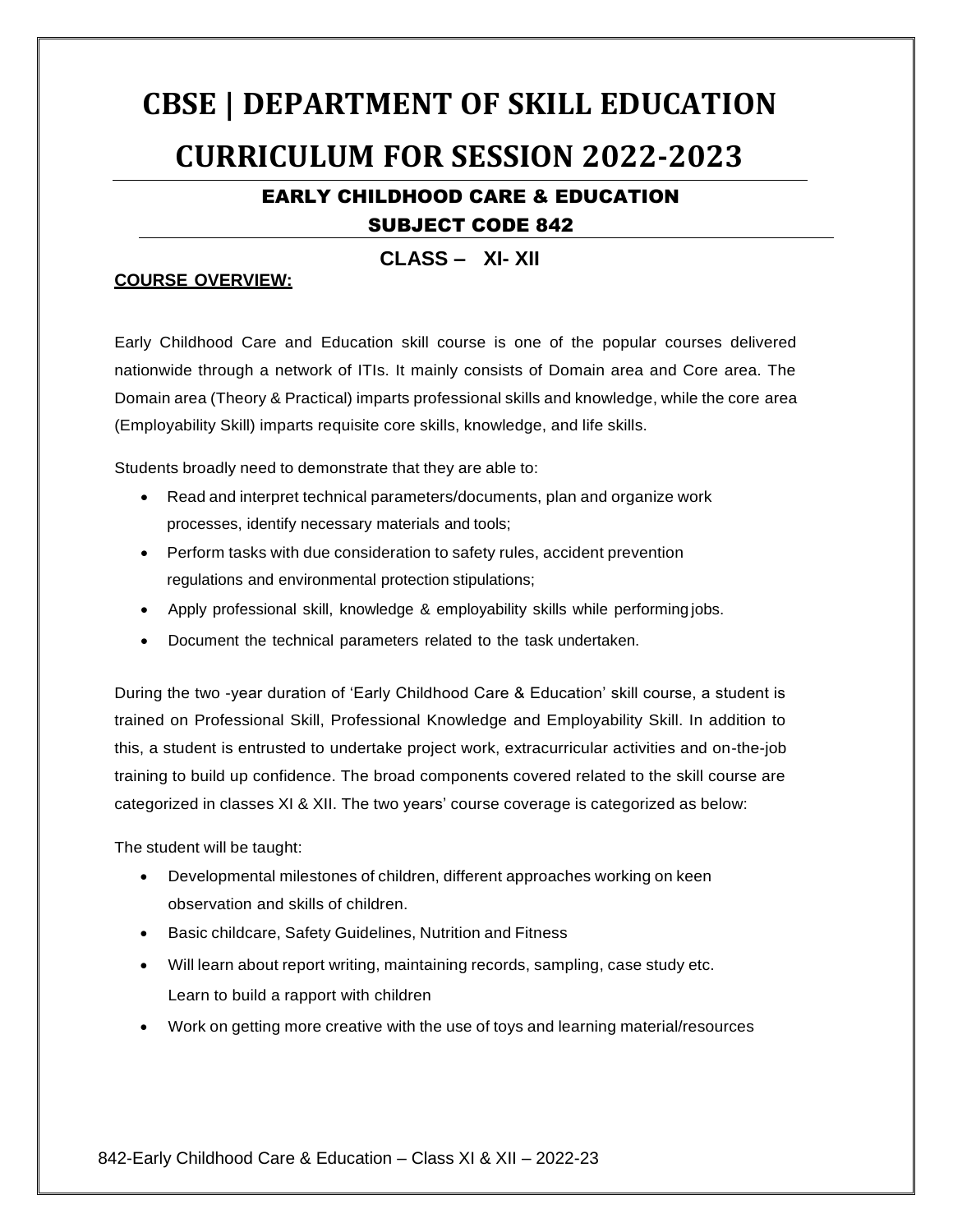# **CBSE | DEPARTMENT OF SKILL EDUCATION CURRICULUM FOR SESSION 2022‐2023**

#### EARLY CHILDHOOD CARE & EDUCATION SUBJECT CODE 842

**CLASS – XI- XII**

#### **COURSE OVERVIEW:**

Early Childhood Care and Education skill course is one of the popular courses delivered nationwide through a network of ITIs. It mainly consists of Domain area and Core area. The Domain area (Theory & Practical) imparts professional skills and knowledge, while the core area (Employability Skill) imparts requisite core skills, knowledge, and life skills.

Students broadly need to demonstrate that they are able to:

- Read and interpret technical parameters/documents, plan and organize work processes, identify necessary materials and tools;
- Perform tasks with due consideration to safety rules, accident prevention regulations and environmental protection stipulations;
- Apply professional skill, knowledge & employability skills while performing jobs.
- Document the technical parameters related to the task undertaken.

During the two -year duration of 'Early Childhood Care & Education' skill course, a student is trained on Professional Skill, Professional Knowledge and Employability Skill. In addition to this, a student is entrusted to undertake project work, extracurricular activities and on-the-job training to build up confidence. The broad components covered related to the skill course are categorized in classes XI & XII. The two years' course coverage is categorized as below:

The student will be taught:

- Developmental milestones of children, different approaches working on keen observation and skills of children.
- Basic childcare, Safety Guidelines, Nutrition and Fitness
- Will learn about report writing, maintaining records, sampling, case study etc. Learn to build a rapport with children
- Work on getting more creative with the use of toys and learning material/resources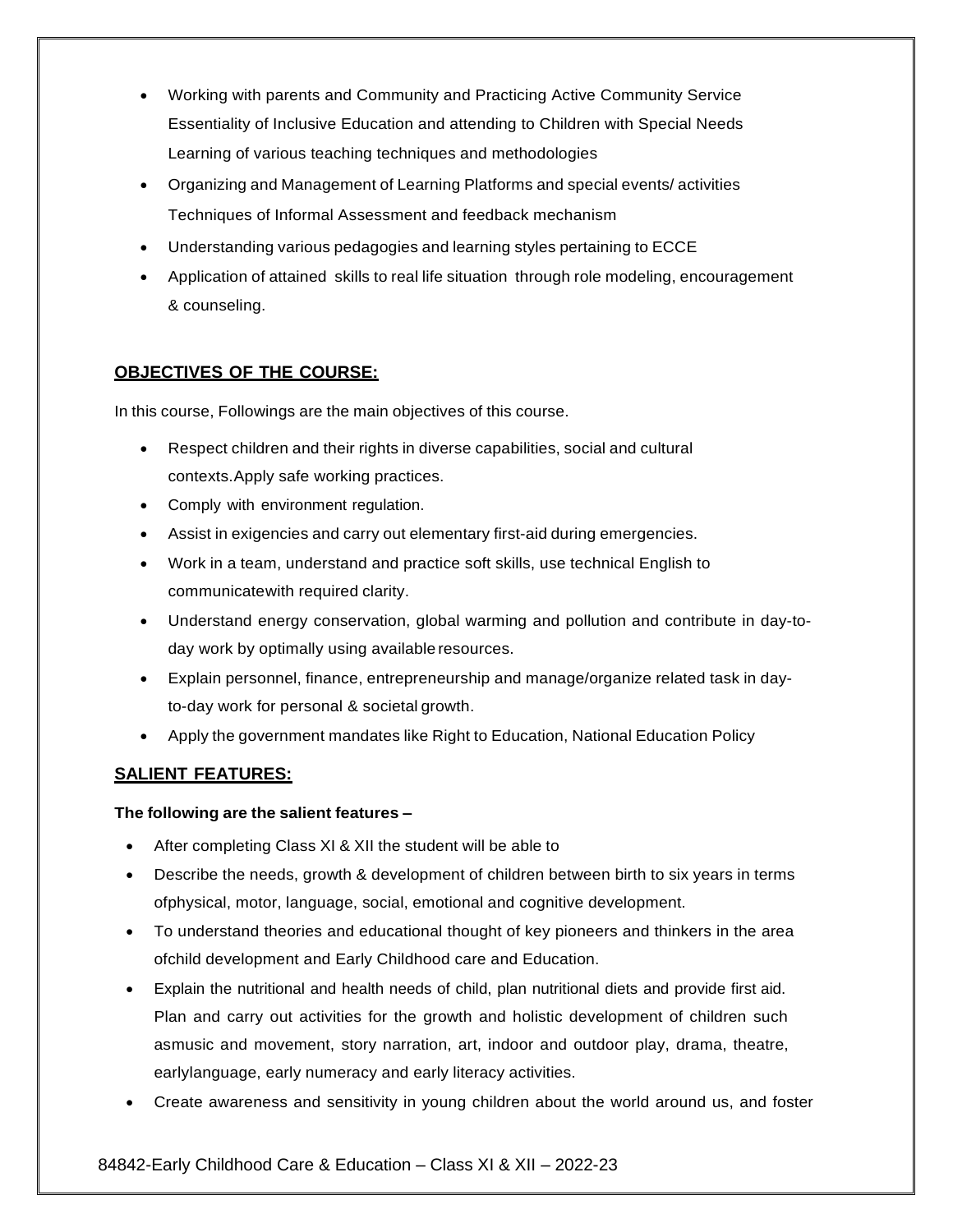- Working with parents and Community and Practicing Active Community Service Essentiality of Inclusive Education and attending to Children with Special Needs Learning of various teaching techniques and methodologies
- Organizing and Management of Learning Platforms and special events/ activities Techniques of Informal Assessment and feedback mechanism
- Understanding various pedagogies and learning styles pertaining to ECCE
- Application of attained skills to real life situation through role modeling, encouragement & counseling.

#### **OBJECTIVES OF THE COURSE:**

In this course, Followings are the main objectives of this course.

- Respect children and their rights in diverse capabilities, social and cultural contexts.Apply safe working practices.
- Comply with environment regulation.
- Assist in exigencies and carry out elementary first-aid during emergencies.
- Work in a team, understand and practice soft skills, use technical English to communicatewith required clarity.
- Understand energy conservation, global warming and pollution and contribute in day-today work by optimally using available resources.
- Explain personnel, finance, entrepreneurship and manage/organize related task in dayto-day work for personal & societal growth.
- Apply the government mandates like Right to Education, National Education Policy

#### **SALIENT FEATURES:**

#### **The following are the salient features –**

- After completing Class XI & XII the student will be able to
- Describe the needs, growth & development of children between birth to six years in terms ofphysical, motor, language, social, emotional and cognitive development.
- To understand theories and educational thought of key pioneers and thinkers in the area ofchild development and Early Childhood care and Education.
- Explain the nutritional and health needs of child, plan nutritional diets and provide first aid. Plan and carry out activities for the growth and holistic development of children such asmusic and movement, story narration, art, indoor and outdoor play, drama, theatre, earlylanguage, early numeracy and early literacy activities.
- Create awareness and sensitivity in young children about the world around us, and foster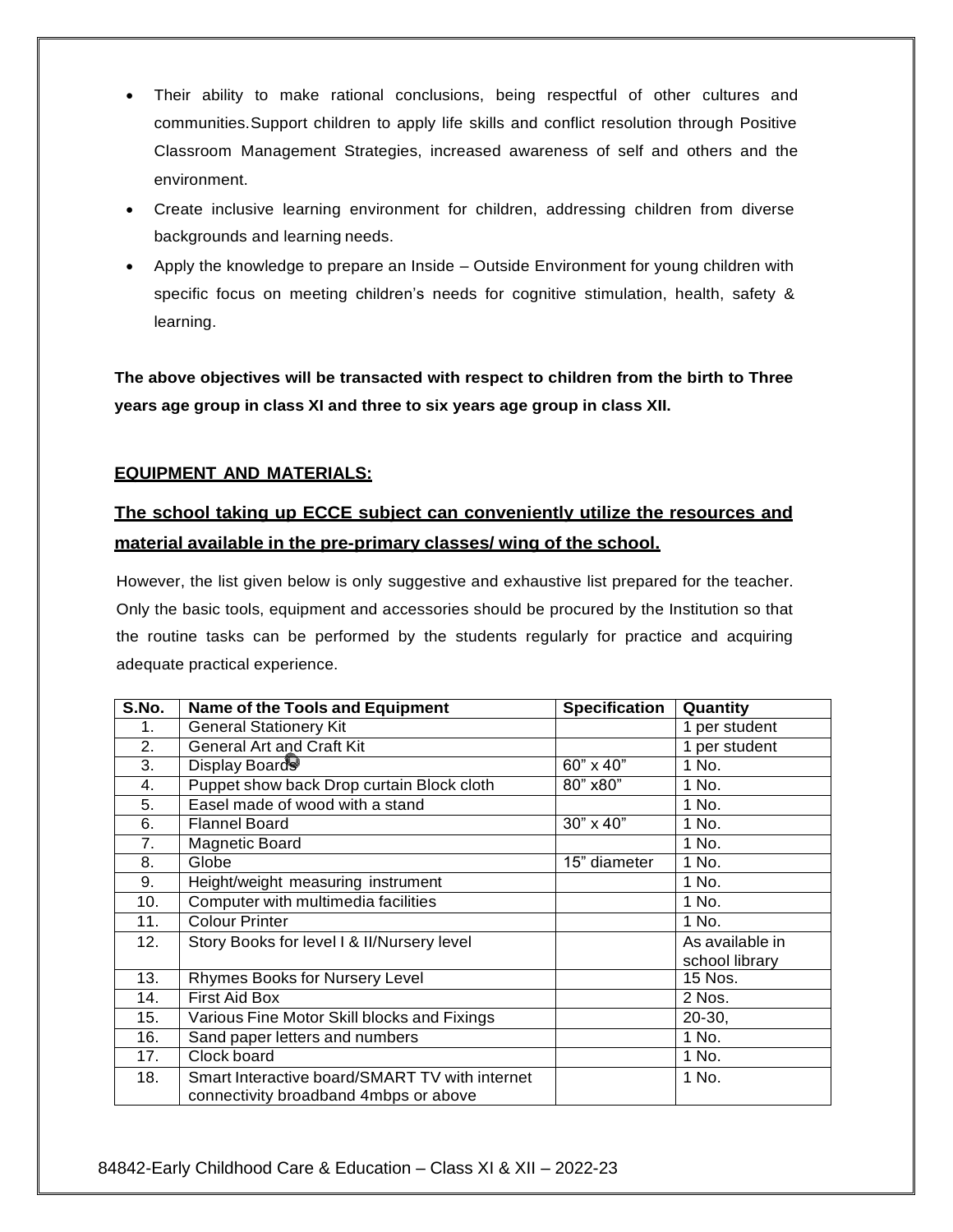- Their ability to make rational conclusions, being respectful of other cultures and communities.Support children to apply life skills and conflict resolution through Positive Classroom Management Strategies, increased awareness of self and others and the environment.
- Create inclusive learning environment for children, addressing children from diverse backgrounds and learning needs.
- Apply the knowledge to prepare an Inside Outside Environment for young children with specific focus on meeting children's needs for cognitive stimulation, health, safety & learning.

**The above objectives will be transacted with respect to children from the birth to Three years age group in class XI and three to six years age group in class XII.**

#### **EQUIPMENT AND MATERIALS:**

## **The school taking up ECCE subject can conveniently utilize the resources and material available in the pre-primary classes/ wing of the school.**

However, the list given below is only suggestive and exhaustive list prepared for the teacher. Only the basic tools, equipment and accessories should be procured by the Institution so that the routine tasks can be performed by the students regularly for practice and acquiring adequate practical experience.

| S.No.          | Name of the Tools and Equipment                                                         | <b>Specification</b> | Quantity                          |
|----------------|-----------------------------------------------------------------------------------------|----------------------|-----------------------------------|
| 1 <sub>1</sub> | <b>General Stationery Kit</b>                                                           |                      | 1 per student                     |
| 2.             | General Art and Craft Kit                                                               |                      | 1 per student                     |
| 3.             | Display Boards                                                                          | 60" x 40"            | 1 No.                             |
| 4.             | Puppet show back Drop curtain Block cloth                                               | 80" x80"             | 1 No.                             |
| 5.             | Easel made of wood with a stand                                                         |                      | 1 No.                             |
| 6.             | <b>Flannel Board</b>                                                                    | 30" x 40"            | 1 No.                             |
| 7.             | <b>Magnetic Board</b>                                                                   |                      | 1 No.                             |
| 8.             | Globe                                                                                   | 15" diameter         | 1 No.                             |
| 9.             | Height/weight measuring instrument                                                      |                      | 1 No.                             |
| 10.            | Computer with multimedia facilities                                                     |                      | 1 No.                             |
| 11.            | <b>Colour Printer</b>                                                                   |                      | 1 No.                             |
| 12.            | Story Books for level I & II/Nursery level                                              |                      | As available in<br>school library |
| 13.            | Rhymes Books for Nursery Level                                                          |                      | 15 Nos.                           |
| 14.            | <b>First Aid Box</b>                                                                    |                      | 2 Nos.                            |
| 15.            | Various Fine Motor Skill blocks and Fixings                                             |                      | $20-30,$                          |
| 16.            | Sand paper letters and numbers                                                          |                      | 1 No.                             |
| 17.            | Clock board                                                                             |                      | 1 No.                             |
| 18.            | Smart Interactive board/SMART TV with internet<br>connectivity broadband 4mbps or above |                      | 1 No.                             |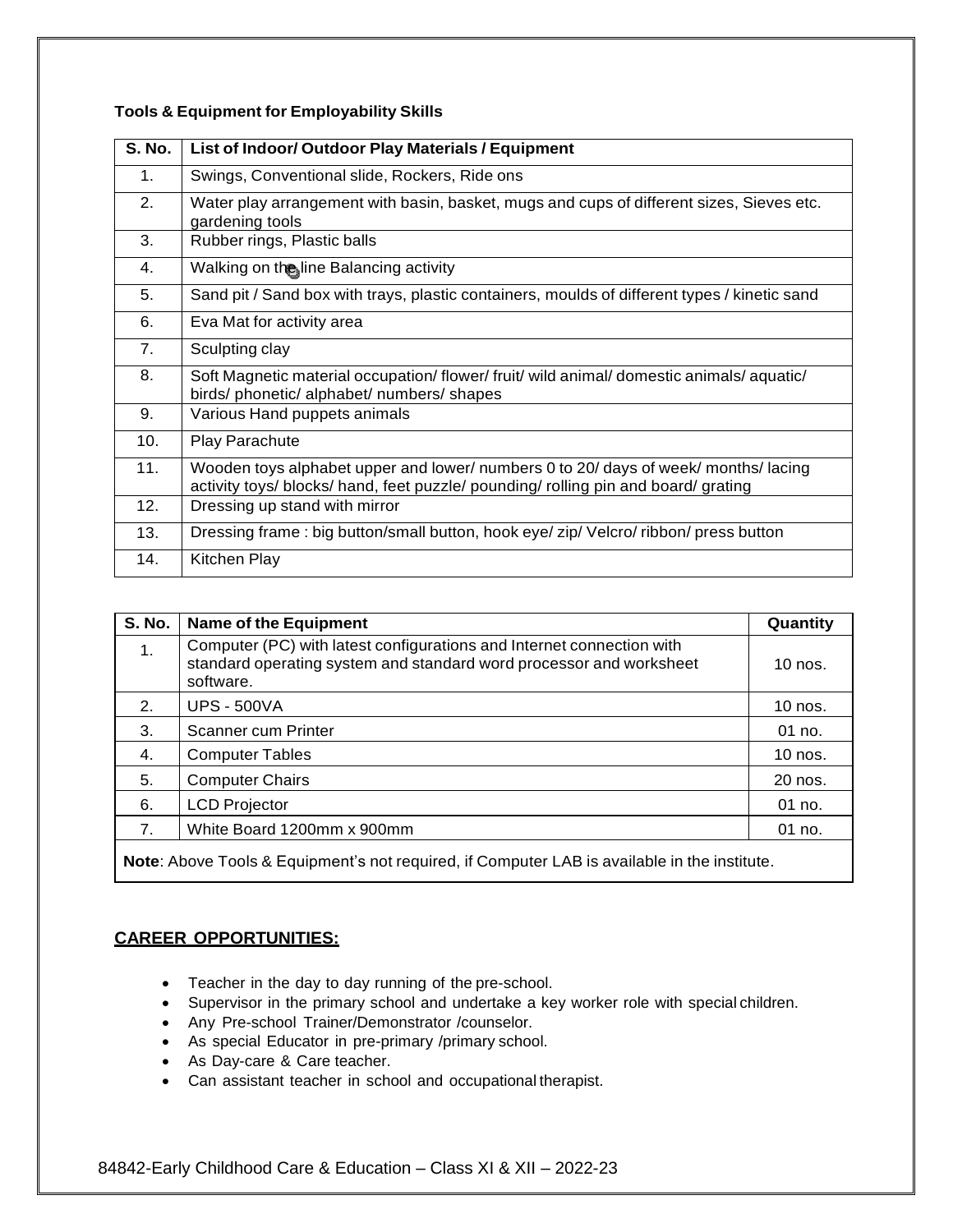| <b>S. No.</b> | List of Indoor/ Outdoor Play Materials / Equipment                                                                                                                       |
|---------------|--------------------------------------------------------------------------------------------------------------------------------------------------------------------------|
| 1.            | Swings, Conventional slide, Rockers, Ride ons                                                                                                                            |
| 2.            | Water play arrangement with basin, basket, mugs and cups of different sizes, Sieves etc.<br>gardening tools                                                              |
| 3.            | Rubber rings, Plastic balls                                                                                                                                              |
| 4.            | Walking on the line Balancing activity                                                                                                                                   |
| 5.            | Sand pit / Sand box with trays, plastic containers, moulds of different types / kinetic sand                                                                             |
| 6.            | Eva Mat for activity area                                                                                                                                                |
| 7.            | Sculpting clay                                                                                                                                                           |
| 8.            | Soft Magnetic material occupation/flower/fruit/ wild animal/domestic animals/aquatic/<br>birds/ phonetic/ alphabet/ numbers/ shapes                                      |
| 9.            | Various Hand puppets animals                                                                                                                                             |
| 10.           | <b>Play Parachute</b>                                                                                                                                                    |
| 11.           | Wooden toys alphabet upper and lower/ numbers 0 to 20/ days of week/ months/lacing<br>activity toys/ blocks/ hand, feet puzzle/ pounding/ rolling pin and board/ grating |
| 12.           | Dressing up stand with mirror                                                                                                                                            |
| 13.           | Dressing frame: big button/small button, hook eye/ zip/ Velcro/ ribbon/ press button                                                                                     |
| 14.           | Kitchen Play                                                                                                                                                             |

#### **Tools & Equipment for Employability Skills**

| <b>S. No.</b>  | <b>Name of the Equipment</b>                                                                                                                              | Quantity  |
|----------------|-----------------------------------------------------------------------------------------------------------------------------------------------------------|-----------|
| 1.             | Computer (PC) with latest configurations and Internet connection with<br>standard operating system and standard word processor and worksheet<br>software. | 10 nos.   |
| 2.             | <b>UPS - 500VA</b>                                                                                                                                        | 10 nos.   |
| 3.             | Scanner cum Printer                                                                                                                                       | $01$ no.  |
| 4.             | <b>Computer Tables</b>                                                                                                                                    | $10$ nos. |
| 5.             | <b>Computer Chairs</b>                                                                                                                                    | 20 nos.   |
| 6.             | <b>LCD Projector</b>                                                                                                                                      | 01 no.    |
| 7 <sub>1</sub> | White Board 1200mm x 900mm                                                                                                                                | $01$ no.  |
|                |                                                                                                                                                           |           |

**Note**: Above Tools & Equipment's not required, if Computer LAB is available in the institute.

#### **CAREER OPPORTUNITIES:**

- Teacher in the day to day running of the pre-school.
- Supervisor in the primary school and undertake a key worker role with special children.
- Any Pre-school Trainer/Demonstrator /counselor.
- As special Educator in pre-primary /primary school.
- As Day-care & Care teacher.
- Can assistant teacher in school and occupational therapist.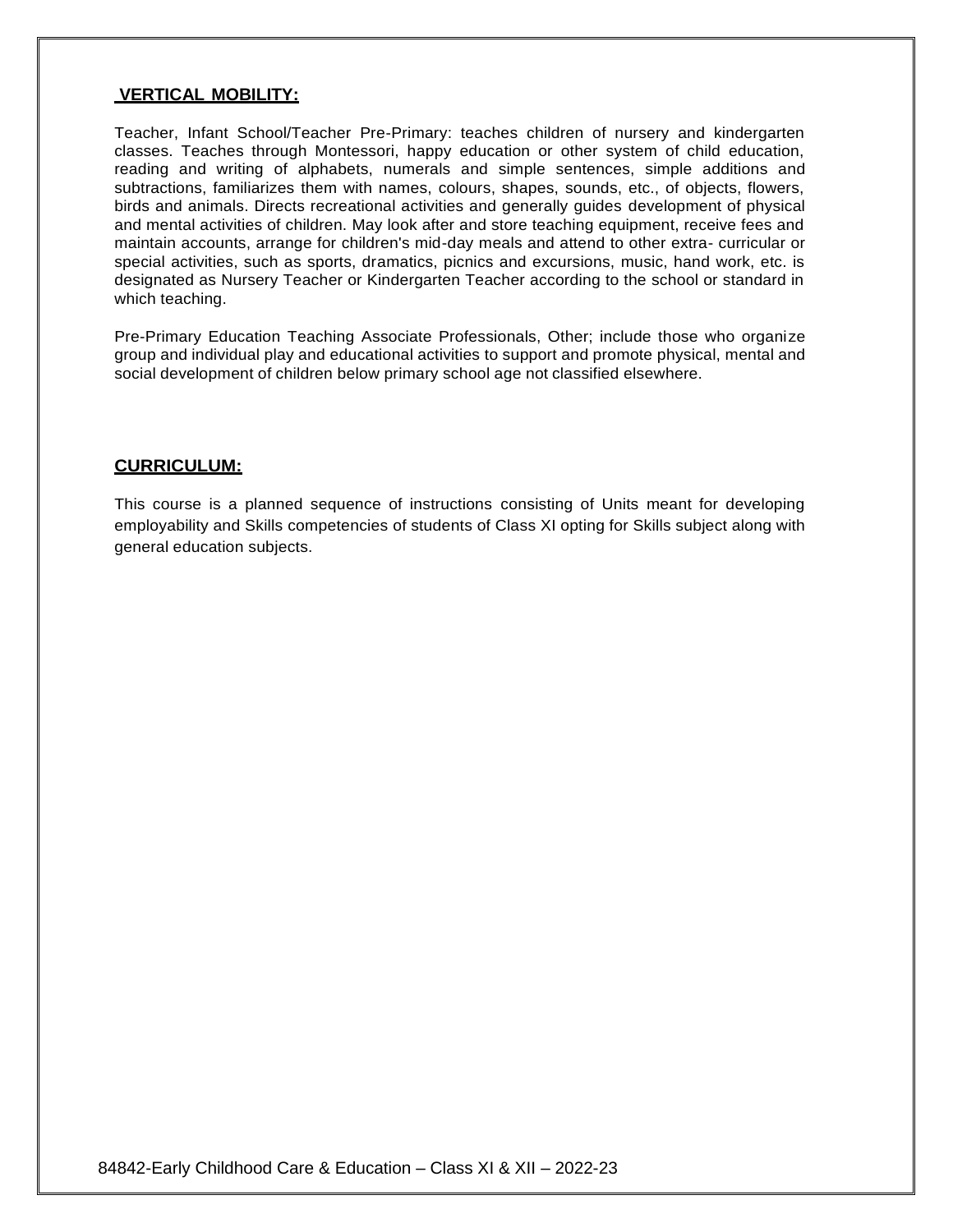#### **VERTICAL MOBILITY:**

Teacher, Infant School/Teacher Pre-Primary: teaches children of nursery and kindergarten classes. Teaches through Montessori, happy education or other system of child education, reading and writing of alphabets, numerals and simple sentences, simple additions and subtractions, familiarizes them with names, colours, shapes, sounds, etc., of objects, flowers, birds and animals. Directs recreational activities and generally guides development of physical and mental activities of children. May look after and store teaching equipment, receive fees and maintain accounts, arrange for children's mid-day meals and attend to other extra- curricular or special activities, such as sports, dramatics, picnics and excursions, music, hand work, etc. is designated as Nursery Teacher or Kindergarten Teacher according to the school or standard in which teaching.

Pre-Primary Education Teaching Associate Professionals, Other; include those who organize group and individual play and educational activities to support and promote physical, mental and social development of children below primary school age not classified elsewhere.

#### **CURRICULUM:**

This course is a planned sequence of instructions consisting of Units meant for developing employability and Skills competencies of students of Class XI opting for Skills subject along with general education subjects.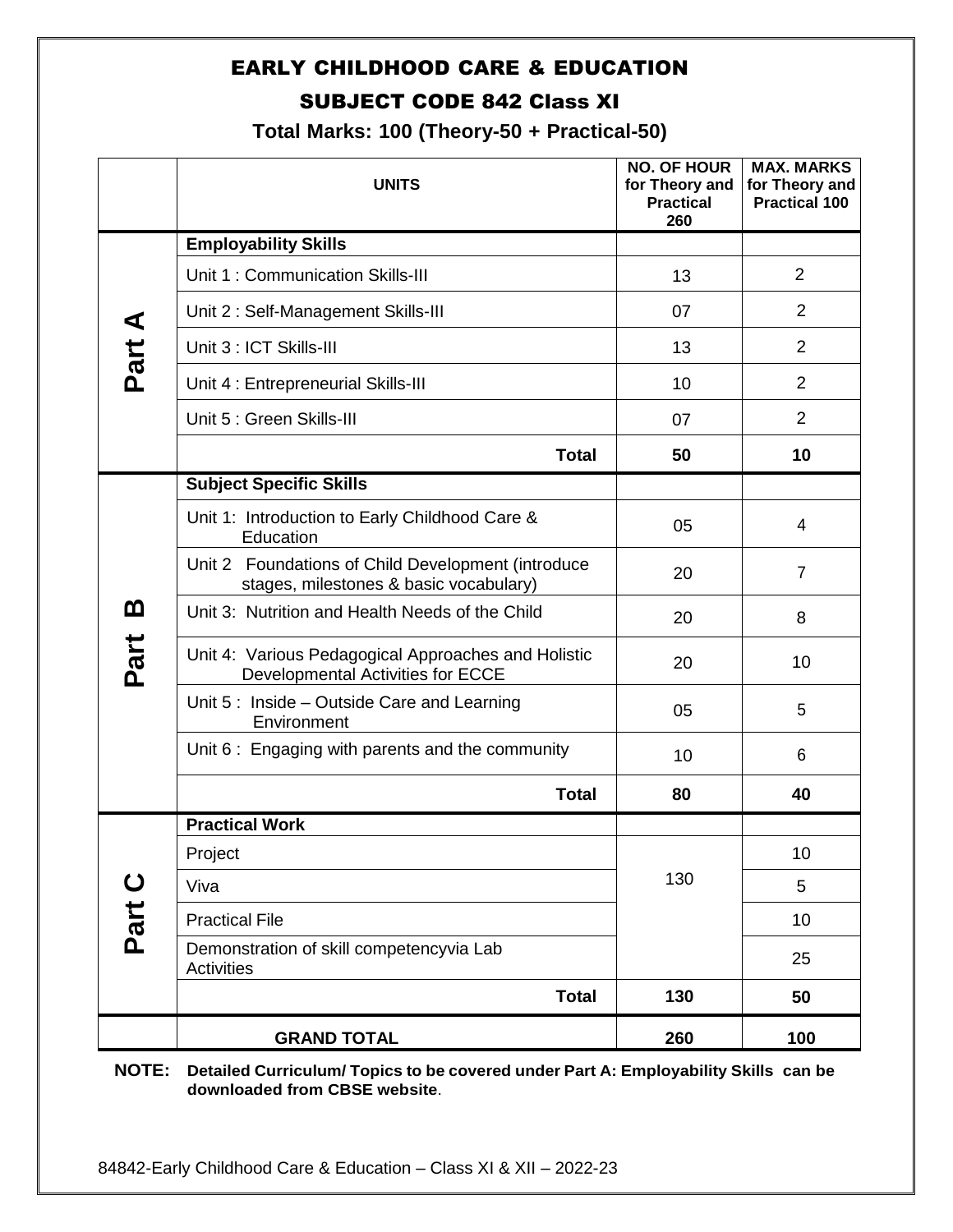# EARLY CHILDHOOD CARE & EDUCATION SUBJECT CODE 842 Class XI

**Total Marks: 100 (Theory-50 + Practical-50)**

|             | <b>UNITS</b>                                                                                 | <b>NO. OF HOUR</b><br>for Theory and<br><b>Practical</b><br>260 | <b>MAX. MARKS</b><br>for Theory and<br><b>Practical 100</b> |
|-------------|----------------------------------------------------------------------------------------------|-----------------------------------------------------------------|-------------------------------------------------------------|
|             | <b>Employability Skills</b>                                                                  |                                                                 |                                                             |
|             | Unit 1: Communication Skills-III                                                             | 13                                                              | $\overline{2}$                                              |
| ⋖           | Unit 2: Self-Management Skills-III                                                           | 07                                                              | 2                                                           |
| Part        | Unit 3 : ICT Skills-III                                                                      | 13                                                              | $\overline{2}$                                              |
|             | Unit 4 : Entrepreneurial Skills-III                                                          | 10                                                              | $\overline{2}$                                              |
|             | Unit 5 : Green Skills-III                                                                    | 07                                                              | $\overline{2}$                                              |
|             | <b>Total</b>                                                                                 | 50                                                              | 10                                                          |
|             | <b>Subject Specific Skills</b>                                                               |                                                                 |                                                             |
|             | Unit 1: Introduction to Early Childhood Care &<br>Education                                  | 05                                                              | $\overline{4}$                                              |
|             | Unit 2 Foundations of Child Development (introduce<br>stages, milestones & basic vocabulary) | 20                                                              | $\overline{7}$                                              |
| മ           | Unit 3: Nutrition and Health Needs of the Child                                              | 20                                                              | 8                                                           |
| Part        | Unit 4: Various Pedagogical Approaches and Holistic<br>Developmental Activities for ECCE     | 20                                                              | 10                                                          |
|             | Unit 5: Inside - Outside Care and Learning<br>Environment                                    | 05                                                              | 5                                                           |
|             | Unit 6: Engaging with parents and the community                                              | 10                                                              | 6                                                           |
|             | <b>Total</b>                                                                                 | 80                                                              | 40                                                          |
|             | <b>Practical Work</b>                                                                        |                                                                 |                                                             |
|             | Project                                                                                      |                                                                 | 10                                                          |
| $\mathbf C$ | Viva                                                                                         | 130                                                             | 5                                                           |
| Part        | <b>Practical File</b>                                                                        |                                                                 | 10                                                          |
|             | Demonstration of skill competencyvia Lab<br><b>Activities</b>                                |                                                                 | 25                                                          |
|             | <b>Total</b>                                                                                 | 130                                                             | 50                                                          |
|             | <b>GRAND TOTAL</b>                                                                           | 260                                                             | 100                                                         |

**NOTE: Detailed Curriculum/ Topics to be covered under Part A: Employability Skills can be downloaded from CBSE website**.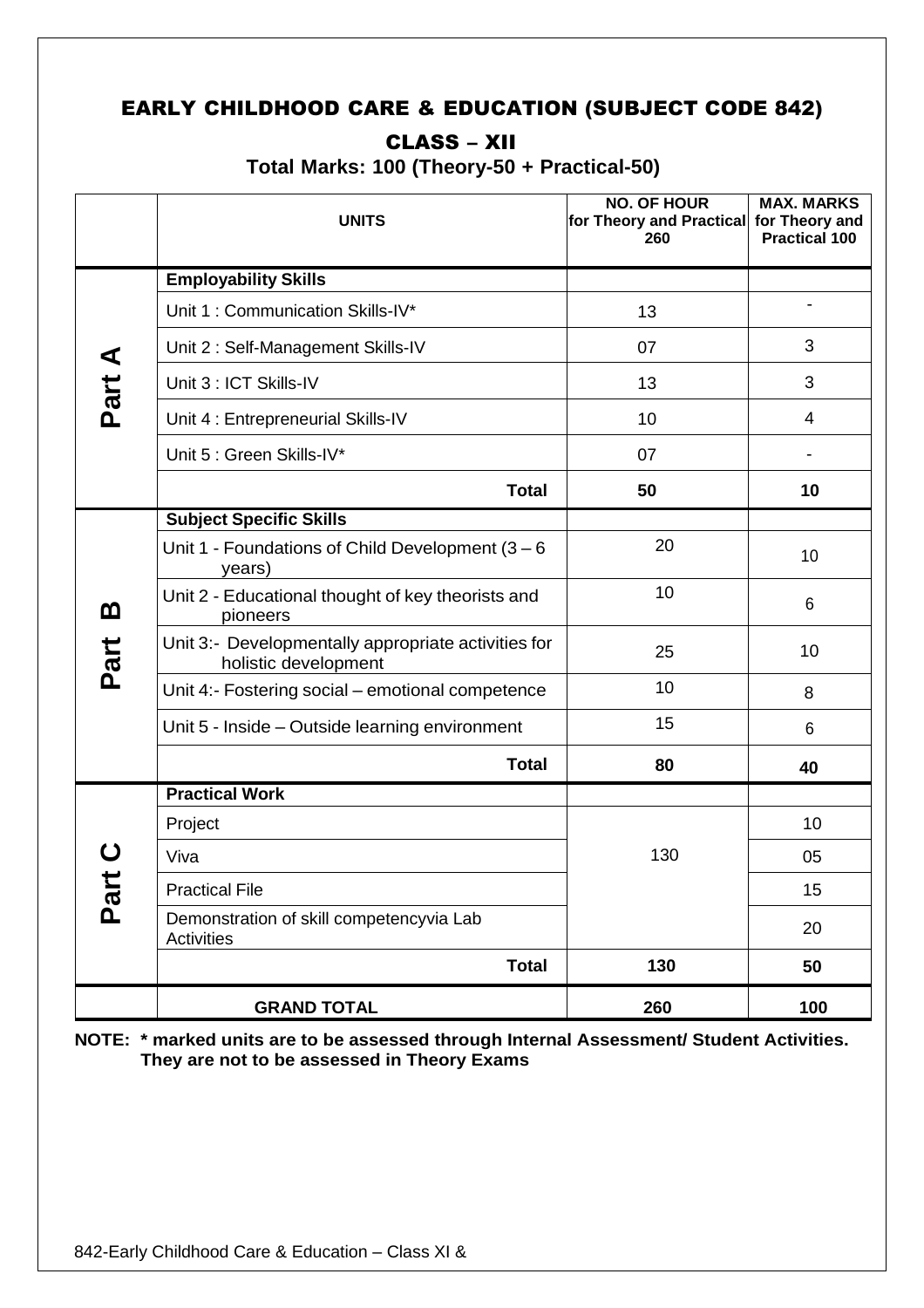# EARLY CHILDHOOD CARE & EDUCATION (SUBJECT CODE 842)

# CLASS – XII

**Total Marks: 100 (Theory-50 + Practical-50)**

|      | <b>UNITS</b>                                                                | <b>NO. OF HOUR</b><br>for Theory and Practical for Theory and<br>260 | <b>MAX. MARKS</b><br><b>Practical 100</b> |
|------|-----------------------------------------------------------------------------|----------------------------------------------------------------------|-------------------------------------------|
|      | <b>Employability Skills</b>                                                 |                                                                      |                                           |
|      | Unit 1: Communication Skills-IV*                                            | 13                                                                   |                                           |
| ⋖    | Unit 2: Self-Management Skills-IV                                           | 07                                                                   | 3                                         |
| Part | Unit 3 : ICT Skills-IV                                                      | 13                                                                   | 3                                         |
|      | Unit 4 : Entrepreneurial Skills-IV                                          | 10                                                                   | 4                                         |
|      | Unit 5 : Green Skills-IV*                                                   | 07                                                                   |                                           |
|      | <b>Total</b>                                                                | 50                                                                   | 10                                        |
|      | <b>Subject Specific Skills</b>                                              |                                                                      |                                           |
|      | Unit 1 - Foundations of Child Development $(3 - 6)$<br>years)               | 20                                                                   | 10                                        |
| മ    | Unit 2 - Educational thought of key theorists and<br>pioneers               | 10                                                                   | 6                                         |
| Part | Unit 3:- Developmentally appropriate activities for<br>holistic development | 25                                                                   | 10                                        |
|      | Unit 4:- Fostering social - emotional competence                            | 10                                                                   | 8                                         |
|      | Unit 5 - Inside - Outside learning environment                              | 15                                                                   | 6                                         |
|      | <b>Total</b>                                                                | 80                                                                   | 40                                        |
|      | <b>Practical Work</b>                                                       |                                                                      |                                           |
|      | Project                                                                     |                                                                      | 10                                        |
|      | Viva                                                                        | 130                                                                  | 05                                        |
|      | <b>Practical File</b>                                                       |                                                                      | 15                                        |
| Ρa   | Demonstration of skill competencyvia Lab<br><b>Activities</b>               |                                                                      | 20                                        |
|      | <b>Total</b>                                                                | 130                                                                  | 50                                        |
|      | <b>GRAND TOTAL</b>                                                          | 260                                                                  | 100                                       |

**NOTE: \* marked units are to be assessed through Internal Assessment/ Student Activities. They are not to be assessed in Theory Exams**

<u>xil – 2022-23 – 2022-23 – 2022</u>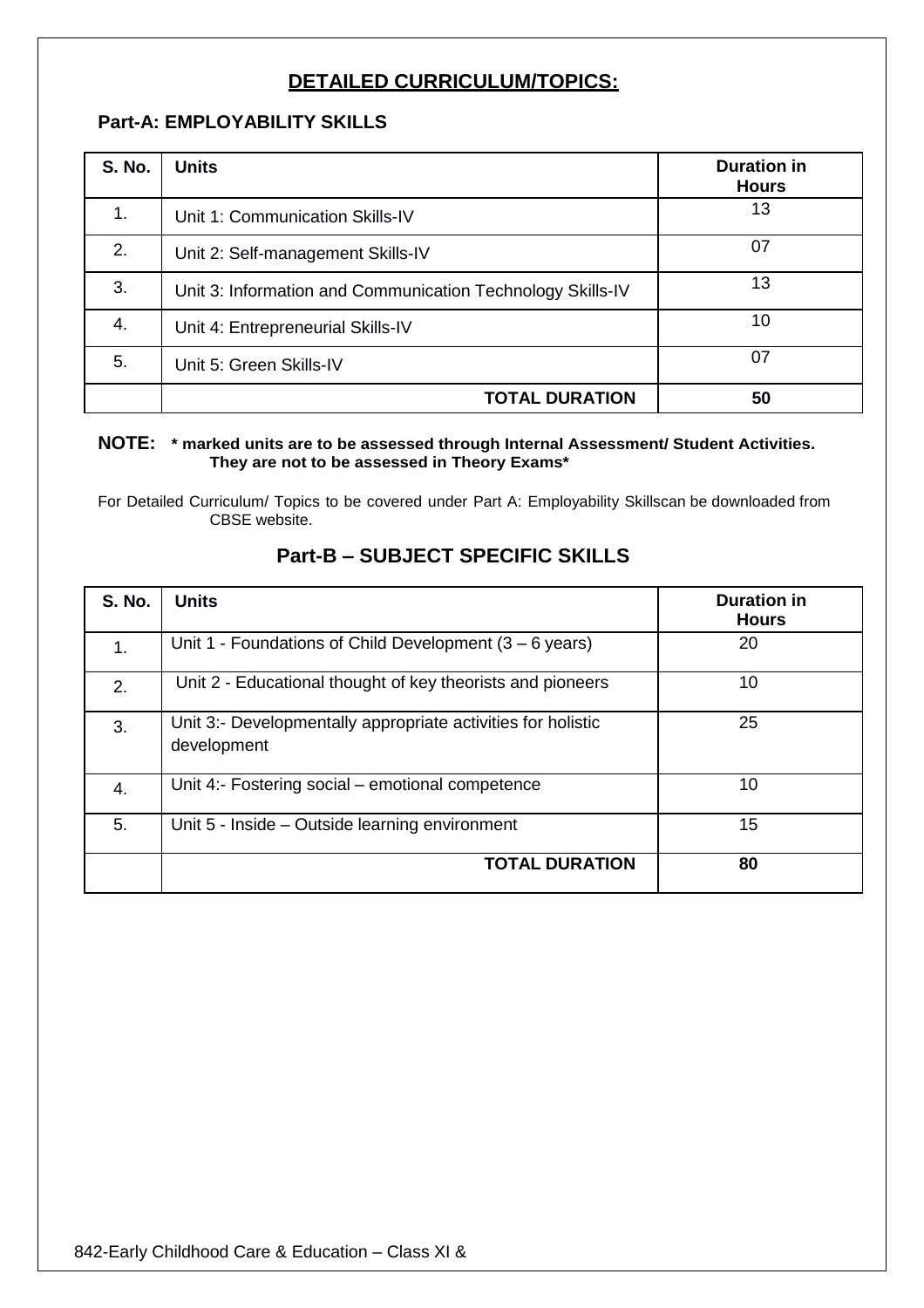# **DETAILED CURRICULUM/TOPICS:**

## **Part-A: EMPLOYABILITY SKILLS**

| <b>S. No.</b> | <b>Units</b>                                               | <b>Duration in</b><br><b>Hours</b> |
|---------------|------------------------------------------------------------|------------------------------------|
| 1.            | Unit 1: Communication Skills-IV                            | 13                                 |
| 2.            | Unit 2: Self-management Skills-IV                          | 07                                 |
| 3.            | Unit 3: Information and Communication Technology Skills-IV | 13                                 |
| 4.            | Unit 4: Entrepreneurial Skills-IV                          | 10                                 |
| 5.            | Unit 5: Green Skills-IV                                    | 07                                 |
|               | <b>TOTAL DURATION</b>                                      | 50                                 |

#### **NOTE: \* marked units are to be assessed through Internal Assessment/ Student Activities. They are not to be assessed in Theory Exams\***

For Detailed Curriculum/ Topics to be covered under Part A: Employability Skillscan be downloaded from CBSE website.

| <b>S. No.</b> | <b>Units</b>                                                                | <b>Duration in</b><br><b>Hours</b> |
|---------------|-----------------------------------------------------------------------------|------------------------------------|
| 1.            | Unit 1 - Foundations of Child Development $(3 – 6 \text{ years})$           | 20                                 |
| 2.            | Unit 2 - Educational thought of key theorists and pioneers                  | 10                                 |
| 3.            | Unit 3:- Developmentally appropriate activities for holistic<br>development | 25                                 |
| 4.            | Unit 4:- Fostering social – emotional competence                            | 10                                 |
| 5.            | Unit 5 - Inside – Outside learning environment                              | 15                                 |
|               | <b>TOTAL DURATION</b>                                                       | 80                                 |

## **Part-B – SUBJECT SPECIFIC SKILLS**

<u>xil – 2022-23 – 2022-23 – 2022</u>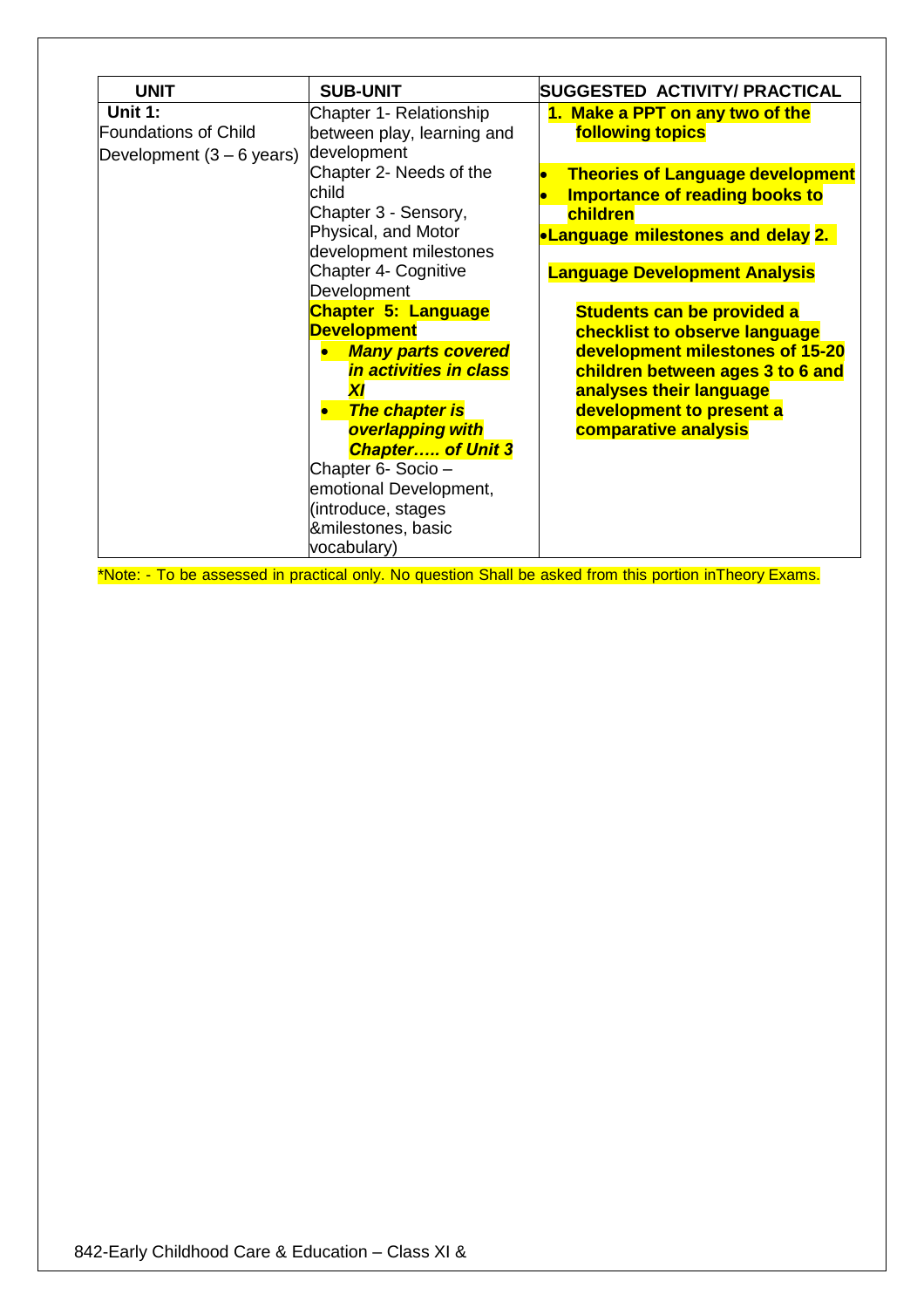| <b>UNIT</b>                                                                  | <b>SUB-UNIT</b>                                                                           | SUGGESTED ACTIVITY/ PRACTICAL                                                                                                            |
|------------------------------------------------------------------------------|-------------------------------------------------------------------------------------------|------------------------------------------------------------------------------------------------------------------------------------------|
| <b>Unit 1:</b><br><b>Foundations of Child</b><br>Development $(3 - 6$ years) | Chapter 1- Relationship<br>between play, learning and<br>development                      | 1. Make a PPT on any two of the<br><b>following topics</b>                                                                               |
|                                                                              | Chapter 2- Needs of the<br>child<br>Chapter 3 - Sensory,<br>Physical, and Motor           | <b>Theories of Language development</b><br><b>Importance of reading books to</b><br>children<br><b>•Language milestones and delay 2.</b> |
|                                                                              | development milestones<br>Chapter 4- Cognitive                                            | <b>Language Development Analysis</b>                                                                                                     |
|                                                                              | Development<br><b>Chapter 5: Language</b>                                                 | Students can be provided a                                                                                                               |
|                                                                              | <b>Development</b><br><b>Many parts covered</b><br>in activities in class<br>$\mathbf{x}$ | checklist to observe language<br>development milestones of 15-20<br>children between ages 3 to 6 and<br>analyses their language          |
|                                                                              | <b>The chapter is</b><br>overlapping with<br><b>Chapter of Unit 3</b>                     | development to present a<br>comparative analysis                                                                                         |
|                                                                              | Chapter 6- Socio -<br>emotional Development,<br>(introduce, stages                        |                                                                                                                                          |
|                                                                              | &milestones, basic<br>vocabulary)                                                         |                                                                                                                                          |

\*Note: - To be assessed in practical only. No question Shall be asked from this portion inTheory Exams.

<u>xil – 2022-23 – 2022-23 – 2022</u>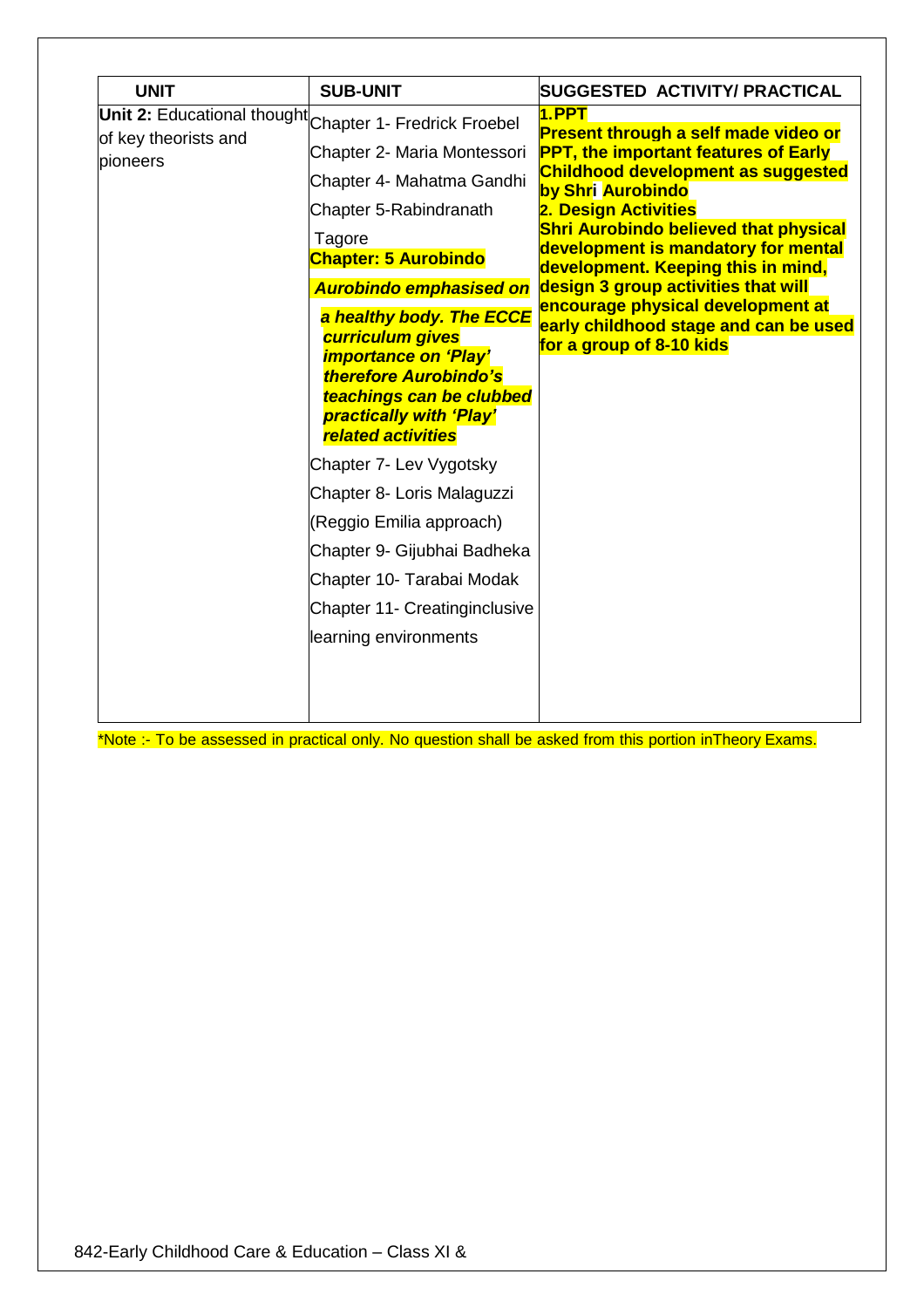| <b>UNIT</b>          | <b>SUB-UNIT</b>                                                                                                                                                                                 | SUGGESTED ACTIVITY/ PRACTICAL                                                                                             |
|----------------------|-------------------------------------------------------------------------------------------------------------------------------------------------------------------------------------------------|---------------------------------------------------------------------------------------------------------------------------|
| of key theorists and | Unit 2: Educational thought Chapter 1- Fredrick Froebel                                                                                                                                         | 1.PPT<br><b>Present through a self made video or</b>                                                                      |
| pioneers             | Chapter 2- Maria Montessori                                                                                                                                                                     | <b>PPT, the important features of Early</b>                                                                               |
|                      | Chapter 4- Mahatma Gandhi                                                                                                                                                                       | <b>Childhood development as suggested</b><br>by Shri Aurobindo                                                            |
|                      | Chapter 5-Rabindranath                                                                                                                                                                          | 2. Design Activities                                                                                                      |
|                      | Tagore<br><b>Chapter: 5 Aurobindo</b>                                                                                                                                                           | <b>Shri Aurobindo believed that physical</b><br>development is mandatory for mental<br>development. Keeping this in mind, |
|                      | <b>Aurobindo emphasised on</b>                                                                                                                                                                  | design 3 group activities that will                                                                                       |
|                      | a healthy body. The ECCE<br>curriculum gives<br><i><b>importance on 'Play'</b></i><br>therefore Aurobindo's<br>teachings can be clubbed<br>practically with 'Play'<br><b>related activities</b> | encourage physical development at<br>early childhood stage and can be used<br>for a group of 8-10 kids                    |
|                      | Chapter 7- Lev Vygotsky                                                                                                                                                                         |                                                                                                                           |
|                      | Chapter 8- Loris Malaguzzi                                                                                                                                                                      |                                                                                                                           |
|                      | (Reggio Emilia approach)                                                                                                                                                                        |                                                                                                                           |
|                      | Chapter 9- Gijubhai Badheka                                                                                                                                                                     |                                                                                                                           |
|                      | Chapter 10- Tarabai Modak                                                                                                                                                                       |                                                                                                                           |
|                      | Chapter 11- Creatinginclusive                                                                                                                                                                   |                                                                                                                           |
|                      | learning environments                                                                                                                                                                           |                                                                                                                           |
|                      |                                                                                                                                                                                                 |                                                                                                                           |

\*Note :- To be assessed in practical only. No question shall be asked from this portion inTheory Exams.